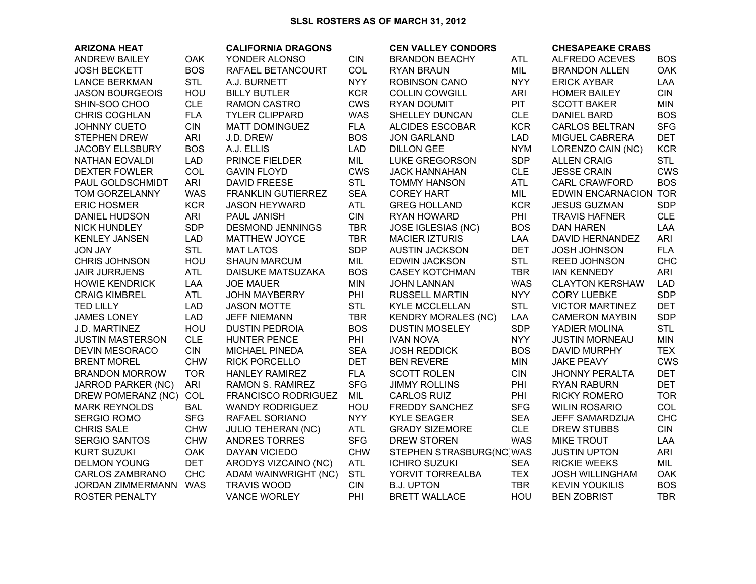## SLSL ROSTERS AS OF MARCH 31, 2012

| <b>ARIZONA HEAT</b>       |            | <b>CALIFORNIA DRAGONS</b>  |            | <b>CEN VALLEY CONDORS</b>  |            | <b>CHESAPEAKE CRABS</b>  |            |
|---------------------------|------------|----------------------------|------------|----------------------------|------------|--------------------------|------------|
| <b>ANDREW BAILEY</b>      | <b>OAK</b> | YONDER ALONSO              | <b>CIN</b> | <b>BRANDON BEACHY</b>      | <b>ATL</b> | ALFREDO ACEVES           | <b>BOS</b> |
| <b>JOSH BECKETT</b>       | <b>BOS</b> | RAFAEL BETANCOURT          | COL        | <b>RYAN BRAUN</b>          | MIL        | <b>BRANDON ALLEN</b>     | <b>OAK</b> |
| <b>LANCE BERKMAN</b>      | <b>STL</b> | A.J. BURNETT               | <b>NYY</b> | <b>ROBINSON CANO</b>       | <b>NYY</b> | <b>ERICK AYBAR</b>       | LAA        |
| <b>JASON BOURGEOIS</b>    | HOU        | <b>BILLY BUTLER</b>        | <b>KCR</b> | <b>COLLIN COWGILL</b>      | <b>ARI</b> | <b>HOMER BAILEY</b>      | <b>CIN</b> |
| SHIN-SOO CHOO             | <b>CLE</b> | RAMON CASTRO               | <b>CWS</b> | <b>RYAN DOUMIT</b>         | PIT        | <b>SCOTT BAKER</b>       | <b>MIN</b> |
| CHRIS COGHLAN             | <b>FLA</b> | <b>TYLER CLIPPARD</b>      | <b>WAS</b> | SHELLEY DUNCAN             | <b>CLE</b> | <b>DANIEL BARD</b>       | <b>BOS</b> |
| JOHNNY CUETO              | <b>CIN</b> | <b>MATT DOMINGUEZ</b>      | <b>FLA</b> | <b>ALCIDES ESCOBAR</b>     | <b>KCR</b> | <b>CARLOS BELTRAN</b>    | <b>SFG</b> |
| <b>STEPHEN DREW</b>       | <b>ARI</b> | J.D. DREW                  | <b>BOS</b> | <b>JON GARLAND</b>         | <b>LAD</b> | MIGUEL CABRERA           | <b>DET</b> |
| <b>JACOBY ELLSBURY</b>    | <b>BOS</b> | A.J. ELLIS                 | <b>LAD</b> | <b>DILLON GEE</b>          | <b>NYM</b> | LORENZO CAIN (NC)        | <b>KCR</b> |
| NATHAN EOVALDI            | <b>LAD</b> | PRINCE FIELDER             | MIL        | <b>LUKE GREGORSON</b>      | <b>SDP</b> | <b>ALLEN CRAIG</b>       | <b>STL</b> |
| <b>DEXTER FOWLER</b>      | COL        | <b>GAVIN FLOYD</b>         | <b>CWS</b> | <b>JACK HANNAHAN</b>       | <b>CLE</b> | <b>JESSE CRAIN</b>       | <b>CWS</b> |
| PAUL GOLDSCHMIDT          | ARI        | <b>DAVID FREESE</b>        | <b>STL</b> | <b>TOMMY HANSON</b>        | <b>ATL</b> | <b>CARL CRAWFORD</b>     | <b>BOS</b> |
| TOM GORZELANNY            | <b>WAS</b> | FRANKLIN GUTIERREZ         | <b>SEA</b> | <b>COREY HART</b>          | MIL        | <b>EDWIN ENCARNACION</b> | <b>TOR</b> |
| <b>ERIC HOSMER</b>        | <b>KCR</b> | <b>JASON HEYWARD</b>       | <b>ATL</b> | <b>GREG HOLLAND</b>        | <b>KCR</b> | <b>JESUS GUZMAN</b>      | <b>SDP</b> |
| <b>DANIEL HUDSON</b>      | ARI        | <b>PAUL JANISH</b>         | <b>CIN</b> | <b>RYAN HOWARD</b>         | PHI        | <b>TRAVIS HAFNER</b>     | <b>CLE</b> |
| <b>NICK HUNDLEY</b>       | <b>SDP</b> | <b>DESMOND JENNINGS</b>    | <b>TBR</b> | <b>JOSE IGLESIAS (NC)</b>  | <b>BOS</b> | <b>DAN HAREN</b>         | LAA        |
| <b>KENLEY JANSEN</b>      | LAD        | MATTHEW JOYCE              | <b>TBR</b> | <b>MACIER IZTURIS</b>      | LAA        | DAVID HERNANDEZ          | <b>ARI</b> |
| <b>JON JAY</b>            | <b>STL</b> | <b>MAT LATOS</b>           | <b>SDP</b> | <b>AUSTIN JACKSON</b>      | <b>DET</b> | <b>JOSH JOHNSON</b>      | <b>FLA</b> |
| CHRIS JOHNSON             | HOU        | <b>SHAUN MARCUM</b>        | MIL        | <b>EDWIN JACKSON</b>       | <b>STL</b> | <b>REED JOHNSON</b>      | <b>CHC</b> |
| <b>JAIR JURRJENS</b>      | <b>ATL</b> | DAISUKE MATSUZAKA          | <b>BOS</b> | <b>CASEY KOTCHMAN</b>      | <b>TBR</b> | <b>IAN KENNEDY</b>       | <b>ARI</b> |
| <b>HOWIE KENDRICK</b>     | LAA        | <b>JOE MAUER</b>           | <b>MIN</b> | <b>JOHN LANNAN</b>         | <b>WAS</b> | <b>CLAYTON KERSHAW</b>   | <b>LAD</b> |
| <b>CRAIG KIMBREL</b>      | <b>ATL</b> | <b>JOHN MAYBERRY</b>       | PHI        | <b>RUSSELL MARTIN</b>      | <b>NYY</b> | <b>CORY LUEBKE</b>       | <b>SDP</b> |
| <b>TED LILLY</b>          | <b>LAD</b> | <b>JASON MOTTE</b>         | <b>STL</b> | <b>KYLE MCCLELLAN</b>      | <b>STL</b> | <b>VICTOR MARTINEZ</b>   | <b>DET</b> |
| <b>JAMES LONEY</b>        | <b>LAD</b> | <b>JEFF NIEMANN</b>        | <b>TBR</b> | <b>KENDRY MORALES (NC)</b> | LAA        | <b>CAMERON MAYBIN</b>    | <b>SDP</b> |
| J.D. MARTINEZ             | HOU        | <b>DUSTIN PEDROIA</b>      | <b>BOS</b> | <b>DUSTIN MOSELEY</b>      | <b>SDP</b> | YADIER MOLINA            | <b>STL</b> |
| <b>JUSTIN MASTERSON</b>   | <b>CLE</b> | <b>HUNTER PENCE</b>        | PHI        | <b>IVAN NOVA</b>           | <b>NYY</b> | <b>JUSTIN MORNEAU</b>    | <b>MIN</b> |
| <b>DEVIN MESORACO</b>     | <b>CIN</b> | <b>MICHAEL PINEDA</b>      | <b>SEA</b> | <b>JOSH REDDICK</b>        | <b>BOS</b> | <b>DAVID MURPHY</b>      | <b>TEX</b> |
| <b>BRENT MOREL</b>        | <b>CHW</b> | <b>RICK PORCELLO</b>       | <b>DET</b> | <b>BEN REVERE</b>          | <b>MIN</b> | <b>JAKE PEAVY</b>        | <b>CWS</b> |
| <b>BRANDON MORROW</b>     | <b>TOR</b> | <b>HANLEY RAMIREZ</b>      | <b>FLA</b> | <b>SCOTT ROLEN</b>         | <b>CIN</b> | <b>JHONNY PERALTA</b>    | <b>DET</b> |
| <b>JARROD PARKER (NC)</b> | <b>ARI</b> | <b>RAMON S. RAMIREZ</b>    | <b>SFG</b> | <b>JIMMY ROLLINS</b>       | PHI        | <b>RYAN RABURN</b>       | <b>DET</b> |
| DREW POMERANZ (NC)        | COL        | <b>FRANCISCO RODRIGUEZ</b> | MIL        | <b>CARLOS RUIZ</b>         | PHI        | RICKY ROMERO             | <b>TOR</b> |
| <b>MARK REYNOLDS</b>      | <b>BAL</b> | <b>WANDY RODRIGUEZ</b>     | HOU        | FREDDY SANCHEZ             | <b>SFG</b> | <b>WILIN ROSARIO</b>     | COL        |
| <b>SERGIO ROMO</b>        | <b>SFG</b> | RAFAEL SORIANO             | <b>NYY</b> | <b>KYLE SEAGER</b>         | <b>SEA</b> | JEFF SAMARDZIJA          | <b>CHC</b> |
| <b>CHRIS SALE</b>         | <b>CHW</b> | <b>JULIO TEHERAN (NC)</b>  | <b>ATL</b> | <b>GRADY SIZEMORE</b>      | <b>CLE</b> | <b>DREW STUBBS</b>       | <b>CIN</b> |
| <b>SERGIO SANTOS</b>      | <b>CHW</b> | ANDRES TORRES              | <b>SFG</b> | <b>DREW STOREN</b>         | <b>WAS</b> | <b>MIKE TROUT</b>        | LAA        |
| <b>KURT SUZUKI</b>        | OAK        | <b>DAYAN VICIEDO</b>       | <b>CHW</b> | STEPHEN STRASBURG(NC WAS   |            | <b>JUSTIN UPTON</b>      | <b>ARI</b> |
| <b>DELMON YOUNG</b>       | <b>DET</b> | ARODYS VIZCAINO (NC)       | <b>ATL</b> | <b>ICHIRO SUZUKI</b>       | <b>SEA</b> | <b>RICKIE WEEKS</b>      | MIL        |
| <b>CARLOS ZAMBRANO</b>    | <b>CHC</b> | ADAM WAINWRIGHT (NC)       | <b>STL</b> | YORVIT TORREALBA           | <b>TEX</b> | <b>JOSH WILLINGHAM</b>   | <b>OAK</b> |
| JORDAN ZIMMERMANN WAS     |            | <b>TRAVIS WOOD</b>         | <b>CIN</b> | <b>B.J. UPTON</b>          | <b>TBR</b> | <b>KEVIN YOUKILIS</b>    | <b>BOS</b> |
| ROSTER PENALTY            |            | <b>VANCE WORLEY</b>        | PHI        | <b>BRETT WALLACE</b>       | HOU        | <b>BEN ZOBRIST</b>       | <b>TBR</b> |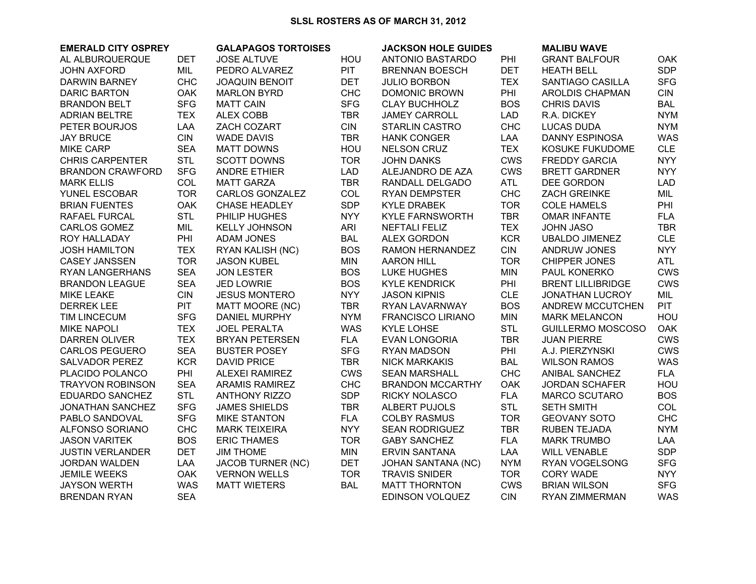## **SLSL ROSTERS AS OF MARCH 31, 2012**

| <b>EMERALD CITY OSPREY</b> |            | <b>GALAPAGOS TORTOISES</b> |            | <b>JACKSON HOLE GUIDES</b> |            | <b>MALIBU WAVE</b>       |            |  |
|----------------------------|------------|----------------------------|------------|----------------------------|------------|--------------------------|------------|--|
| AL ALBURQUERQUE            | <b>DET</b> | <b>JOSE ALTUVE</b>         | HOU        | ANTONIO BASTARDO           | PHI        | <b>GRANT BALFOUR</b>     | OAK        |  |
| <b>JOHN AXFORD</b>         | MIL        | PEDRO ALVAREZ              | <b>PIT</b> | <b>BRENNAN BOESCH</b>      | <b>DET</b> | <b>HEATH BELL</b>        | <b>SDP</b> |  |
| <b>DARWIN BARNEY</b>       | <b>CHC</b> | <b>JOAQUIN BENOIT</b>      | <b>DET</b> | <b>JULIO BORBON</b>        | <b>TEX</b> | SANTIAGO CASILLA         | <b>SFG</b> |  |
| <b>DARIC BARTON</b>        | <b>OAK</b> | <b>MARLON BYRD</b>         | <b>CHC</b> | <b>DOMONIC BROWN</b>       | PHI        | AROLDIS CHAPMAN          | <b>CIN</b> |  |
| <b>BRANDON BELT</b>        | <b>SFG</b> | <b>MATT CAIN</b>           | <b>SFG</b> | <b>CLAY BUCHHOLZ</b>       | <b>BOS</b> | <b>CHRIS DAVIS</b>       | <b>BAL</b> |  |
| ADRIAN BELTRE              | <b>TEX</b> | <b>ALEX COBB</b>           | <b>TBR</b> | <b>JAMEY CARROLL</b>       | <b>LAD</b> | R.A. DICKEY              | <b>NYM</b> |  |
| PETER BOURJOS              | LAA        | ZACH COZART                | <b>CIN</b> | <b>STARLIN CASTRO</b>      | <b>CHC</b> | <b>LUCAS DUDA</b>        | <b>NYM</b> |  |
| <b>JAY BRUCE</b>           | <b>CIN</b> | <b>WADE DAVIS</b>          | <b>TBR</b> | <b>HANK CONGER</b>         | LAA        | <b>DANNY ESPINOSA</b>    | <b>WAS</b> |  |
| <b>MIKE CARP</b>           | <b>SEA</b> | <b>MATT DOWNS</b>          | HOU        | <b>NELSON CRUZ</b>         | <b>TEX</b> | KOSUKE FUKUDOME          | <b>CLE</b> |  |
| <b>CHRIS CARPENTER</b>     | <b>STL</b> | <b>SCOTT DOWNS</b>         | <b>TOR</b> | <b>JOHN DANKS</b>          | <b>CWS</b> | FREDDY GARCIA            | <b>NYY</b> |  |
| <b>BRANDON CRAWFORD</b>    | <b>SFG</b> | <b>ANDRE ETHIER</b>        | LAD        | ALEJANDRO DE AZA           | <b>CWS</b> | <b>BRETT GARDNER</b>     | <b>NYY</b> |  |
| <b>MARK ELLIS</b>          | COL        | <b>MATT GARZA</b>          | <b>TBR</b> | RANDALL DELGADO            | <b>ATL</b> | DEE GORDON               | <b>LAD</b> |  |
| YUNEL ESCOBAR              | <b>TOR</b> | <b>CARLOS GONZALEZ</b>     | COL        | <b>RYAN DEMPSTER</b>       | <b>CHC</b> | ZACH GREINKE             | MIL        |  |
| <b>BRIAN FUENTES</b>       | <b>OAK</b> | <b>CHASE HEADLEY</b>       | <b>SDP</b> | <b>KYLE DRABEK</b>         | <b>TOR</b> | <b>COLE HAMELS</b>       | PHI        |  |
| RAFAEL FURCAL              | <b>STL</b> | PHILIP HUGHES              | <b>NYY</b> | <b>KYLE FARNSWORTH</b>     | <b>TBR</b> | <b>OMAR INFANTE</b>      | <b>FLA</b> |  |
| <b>CARLOS GOMEZ</b>        | MIL        | <b>KELLY JOHNSON</b>       | ARI        | <b>NEFTALI FELIZ</b>       | <b>TEX</b> | <b>JOHN JASO</b>         | <b>TBR</b> |  |
| ROY HALLADAY               | PHI        | <b>ADAM JONES</b>          | <b>BAL</b> | <b>ALEX GORDON</b>         | <b>KCR</b> | <b>UBALDO JIMENEZ</b>    | <b>CLE</b> |  |
| <b>JOSH HAMILTON</b>       | <b>TEX</b> | RYAN KALISH (NC)           | <b>BOS</b> | RAMON HERNANDEZ            | <b>CIN</b> | ANDRUW JONES             | <b>NYY</b> |  |
| <b>CASEY JANSSEN</b>       | <b>TOR</b> | <b>JASON KUBEL</b>         | <b>MIN</b> | <b>AARON HILL</b>          | <b>TOR</b> | <b>CHIPPER JONES</b>     | <b>ATL</b> |  |
| RYAN LANGERHANS            | <b>SEA</b> | <b>JON LESTER</b>          | <b>BOS</b> | <b>LUKE HUGHES</b>         | <b>MIN</b> | PAUL KONERKO             | <b>CWS</b> |  |
| <b>BRANDON LEAGUE</b>      | <b>SEA</b> | <b>JED LOWRIE</b>          | <b>BOS</b> | <b>KYLE KENDRICK</b>       | PHI        | <b>BRENT LILLIBRIDGE</b> | <b>CWS</b> |  |
| <b>MIKE LEAKE</b>          | <b>CIN</b> | <b>JESUS MONTERO</b>       | <b>NYY</b> | <b>JASON KIPNIS</b>        | <b>CLE</b> | JONATHAN LUCROY          | MIL        |  |
| <b>DERREK LEE</b>          | <b>PIT</b> | <b>MATT MOORE (NC)</b>     | <b>TBR</b> | RYAN LAVARNWAY             | <b>BOS</b> | ANDREW MCCUTCHEN         | <b>PIT</b> |  |
| <b>TIM LINCECUM</b>        | <b>SFG</b> | <b>DANIEL MURPHY</b>       | <b>NYM</b> | <b>FRANCISCO LIRIANO</b>   | <b>MIN</b> | <b>MARK MELANCON</b>     | HOU        |  |
| <b>MIKE NAPOLI</b>         | <b>TEX</b> | <b>JOEL PERALTA</b>        | <b>WAS</b> | KYLE LOHSE                 | <b>STL</b> | <b>GUILLERMO MOSCOSO</b> | OAK        |  |
| <b>DARREN OLIVER</b>       | <b>TEX</b> | <b>BRYAN PETERSEN</b>      | <b>FLA</b> | <b>EVAN LONGORIA</b>       | <b>TBR</b> | <b>JUAN PIERRE</b>       | <b>CWS</b> |  |
| <b>CARLOS PEGUERO</b>      | <b>SEA</b> | <b>BUSTER POSEY</b>        | <b>SFG</b> | <b>RYAN MADSON</b>         | PHI        | A.J. PIERZYNSKI          | <b>CWS</b> |  |
| SALVADOR PEREZ             | <b>KCR</b> | <b>DAVID PRICE</b>         | <b>TBR</b> | <b>NICK MARKAKIS</b>       | <b>BAL</b> | <b>WILSON RAMOS</b>      | <b>WAS</b> |  |
| PLACIDO POLANCO            | PHI        | ALEXEI RAMIREZ             | <b>CWS</b> | <b>SEAN MARSHALL</b>       | <b>CHC</b> | ANIBAL SANCHEZ           | <b>FLA</b> |  |
| <b>TRAYVON ROBINSON</b>    | <b>SEA</b> | <b>ARAMIS RAMIREZ</b>      | <b>CHC</b> | <b>BRANDON MCCARTHY</b>    | OAK        | <b>JORDAN SCHAFER</b>    | HOU        |  |
| EDUARDO SANCHEZ            | <b>STL</b> | <b>ANTHONY RIZZO</b>       | <b>SDP</b> | <b>RICKY NOLASCO</b>       | <b>FLA</b> | <b>MARCO SCUTARO</b>     | <b>BOS</b> |  |
| <b>JONATHAN SANCHEZ</b>    | <b>SFG</b> | <b>JAMES SHIELDS</b>       | <b>TBR</b> | ALBERT PUJOLS              | <b>STL</b> | <b>SETH SMITH</b>        | COL        |  |
| PABLO SANDOVAL             | <b>SFG</b> | <b>MIKE STANTON</b>        | <b>FLA</b> | <b>COLBY RASMUS</b>        | <b>TOR</b> | <b>GEOVANY SOTO</b>      | <b>CHC</b> |  |
| ALFONSO SORIANO            | <b>CHC</b> | <b>MARK TEIXEIRA</b>       | <b>NYY</b> | <b>SEAN RODRIGUEZ</b>      | <b>TBR</b> | RUBEN TEJADA             | <b>NYM</b> |  |
| <b>JASON VARITEK</b>       | <b>BOS</b> | <b>ERIC THAMES</b>         | <b>TOR</b> | <b>GABY SANCHEZ</b>        | <b>FLA</b> | <b>MARK TRUMBO</b>       | LAA        |  |
| <b>JUSTIN VERLANDER</b>    | <b>DET</b> | <b>JIM THOME</b>           | <b>MIN</b> | <b>ERVIN SANTANA</b>       | LAA        | <b>WILL VENABLE</b>      | <b>SDP</b> |  |
| JORDAN WALDEN              | LAA        | <b>JACOB TURNER (NC)</b>   | <b>DET</b> | <b>JOHAN SANTANA (NC)</b>  | <b>NYM</b> | RYAN VOGELSONG           | <b>SFG</b> |  |
| <b>JEMILE WEEKS</b>        | <b>OAK</b> | <b>VERNON WELLS</b>        | <b>TOR</b> | <b>TRAVIS SNIDER</b>       | <b>TOR</b> | <b>CORY WADE</b>         | <b>NYY</b> |  |
| <b>JAYSON WERTH</b>        | <b>WAS</b> | <b>MATT WIETERS</b>        | <b>BAL</b> | <b>MATT THORNTON</b>       | <b>CWS</b> | <b>BRIAN WILSON</b>      | <b>SFG</b> |  |
| <b>BRENDAN RYAN</b>        | <b>SEA</b> |                            |            | EDINSON VOLQUEZ            | <b>CIN</b> | RYAN ZIMMERMAN           | <b>WAS</b> |  |